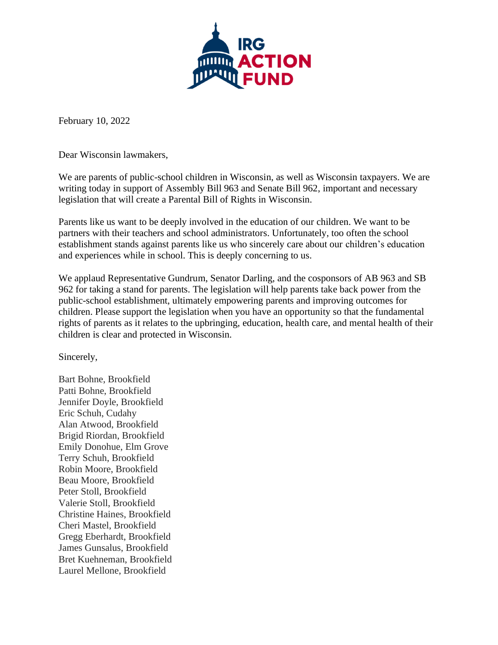

February 10, 2022

Dear Wisconsin lawmakers,

We are parents of public-school children in Wisconsin, as well as Wisconsin taxpayers. We are writing today in support of Assembly Bill 963 and Senate Bill 962, important and necessary legislation that will create a Parental Bill of Rights in Wisconsin.

Parents like us want to be deeply involved in the education of our children. We want to be partners with their teachers and school administrators. Unfortunately, too often the school establishment stands against parents like us who sincerely care about our children's education and experiences while in school. This is deeply concerning to us.

We applaud Representative Gundrum, Senator Darling, and the cosponsors of AB 963 and SB 962 for taking a stand for parents. The legislation will help parents take back power from the public-school establishment, ultimately empowering parents and improving outcomes for children. Please support the legislation when you have an opportunity so that the fundamental rights of parents as it relates to the upbringing, education, health care, and mental health of their children is clear and protected in Wisconsin.

Sincerely,

Bart Bohne, Brookfield Patti Bohne, Brookfield Jennifer Doyle, Brookfield Eric Schuh, Cudahy Alan Atwood, Brookfield Brigid Riordan, Brookfield Emily Donohue, Elm Grove Terry Schuh, Brookfield Robin Moore, Brookfield Beau Moore, Brookfield Peter Stoll, Brookfield Valerie Stoll, Brookfield Christine Haines, Brookfield Cheri Mastel, Brookfield Gregg Eberhardt, Brookfield James Gunsalus, Brookfield Bret Kuehneman, Brookfield Laurel Mellone, Brookfield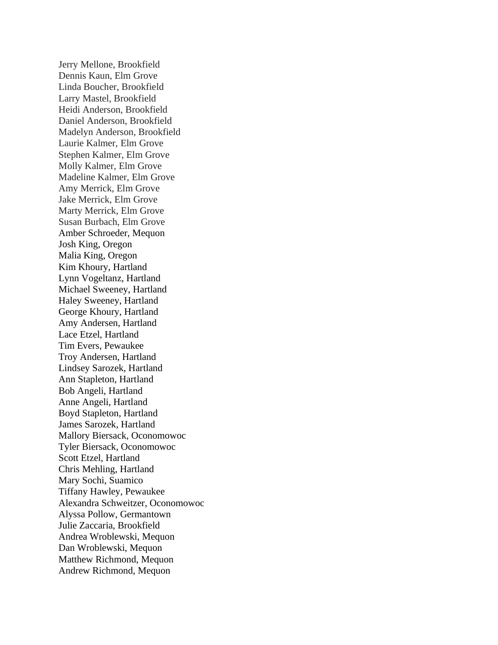Jerry Mellone, Brookfield Dennis Kaun, Elm Grove Linda Boucher, Brookfield Larry Mastel, Brookfield Heidi Anderson, Brookfield Daniel Anderson, Brookfield Madelyn Anderson, Brookfield Laurie Kalmer, Elm Grove Stephen Kalmer, Elm Grove Molly Kalmer, Elm Grove Madeline Kalmer, Elm Grove Amy Merrick, Elm Grove Jake Merrick, Elm Grove Marty Merrick, Elm Grove Susan Burbach, Elm Grove Amber Schroeder, Mequon Josh King, Oregon Malia King, Oregon Kim Khoury, Hartland Lynn Vogeltanz, Hartland Michael Sweeney, Hartland Haley Sweeney, Hartland George Khoury, Hartland Amy Andersen, Hartland Lace Etzel, Hartland Tim Evers, Pewaukee Troy Andersen, Hartland Lindsey Sarozek, Hartland Ann Stapleton, Hartland Bob Angeli, Hartland Anne Angeli, Hartland Boyd Stapleton, Hartland James Sarozek, Hartland Mallory Biersack, Oconomowoc Tyler Biersack, Oconomowoc Scott Etzel, Hartland Chris Mehling, Hartland Mary Sochi, Suamico Tiffany Hawley, Pewaukee Alexandra Schweitzer, Oconomowoc Alyssa Pollow, Germantown Julie Zaccaria, Brookfield Andrea Wroblewski, Mequon Dan Wroblewski, Mequon Matthew Richmond, Mequon Andrew Richmond, Mequon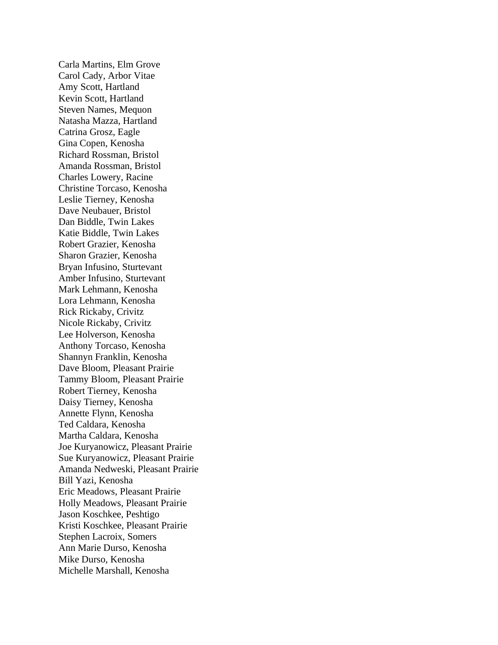Carla Martins, Elm Grove Carol Cady, Arbor Vitae Amy Scott, Hartland Kevin Scott, Hartland Steven Names, Mequon Natasha Mazza, Hartland Catrina Grosz, Eagle Gina Copen, Kenosha Richard Rossman, Bristol Amanda Rossman, Bristol Charles Lowery, Racine Christine Torcaso, Kenosha Leslie Tierney, Kenosha Dave Neubauer, Bristol Dan Biddle, Twin Lakes Katie Biddle, Twin Lakes Robert Grazier, Kenosha Sharon Grazier, Kenosha Bryan Infusino, Sturtevant Amber Infusino, Sturtevant Mark Lehmann, Kenosha Lora Lehmann, Kenosha Rick Rickaby, Crivitz Nicole Rickaby, Crivitz Lee Holverson, Kenosha Anthony Torcaso, Kenosha Shannyn Franklin, Kenosha Dave Bloom, Pleasant Prairie Tammy Bloom, Pleasant Prairie Robert Tierney, Kenosha Daisy Tierney, Kenosha Annette Flynn, Kenosha Ted Caldara, Kenosha Martha Caldara, Kenosha Joe Kuryanowicz, Pleasant Prairie Sue Kuryanowicz, Pleasant Prairie Amanda Nedweski, Pleasant Prairie Bill Yazi, Kenosha Eric Meadows, Pleasant Prairie Holly Meadows, Pleasant Prairie Jason Koschkee, Peshtigo Kristi Koschkee, Pleasant Prairie Stephen Lacroix, Somers Ann Marie Durso, Kenosha Mike Durso, Kenosha Michelle Marshall, Kenosha